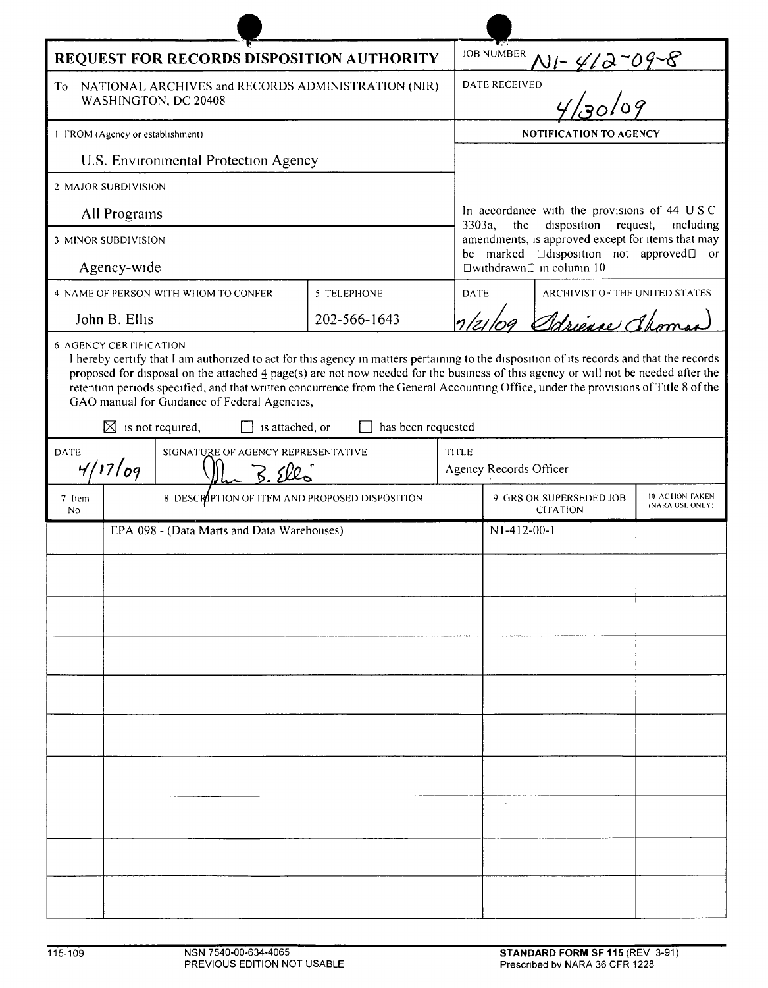| REQUEST FOR RECORDS DISPOSITION AUTHORITY                                                                                                                                                                                                                                                                                                                                                                                                                                                                                                        |                                                |  |              |              | <b>JOB NUMBER</b>                                                                                                                                                                                            |                                            |                                   |  |
|--------------------------------------------------------------------------------------------------------------------------------------------------------------------------------------------------------------------------------------------------------------------------------------------------------------------------------------------------------------------------------------------------------------------------------------------------------------------------------------------------------------------------------------------------|------------------------------------------------|--|--------------|--------------|--------------------------------------------------------------------------------------------------------------------------------------------------------------------------------------------------------------|--------------------------------------------|-----------------------------------|--|
| NATIONAL ARCHIVES and RECORDS ADMINISTRATION (NIR)<br>To<br>WASHINGTON, DC 20408                                                                                                                                                                                                                                                                                                                                                                                                                                                                 |                                                |  |              |              | $N$ 1-412-09-8<br><b>DATE RECEIVED</b>                                                                                                                                                                       |                                            |                                   |  |
| 1 FROM (Agency or establishment)                                                                                                                                                                                                                                                                                                                                                                                                                                                                                                                 |                                                |  |              |              | <b>NOTIFICATION TO AGENCY</b>                                                                                                                                                                                |                                            |                                   |  |
| U.S. Environmental Protection Agency                                                                                                                                                                                                                                                                                                                                                                                                                                                                                                             |                                                |  |              |              |                                                                                                                                                                                                              |                                            |                                   |  |
| 2 MAJOR SUBDIVISION                                                                                                                                                                                                                                                                                                                                                                                                                                                                                                                              |                                                |  |              |              |                                                                                                                                                                                                              |                                            |                                   |  |
| All Programs                                                                                                                                                                                                                                                                                                                                                                                                                                                                                                                                     |                                                |  |              |              | In accordance with the provisions of 44 USC                                                                                                                                                                  |                                            |                                   |  |
| 3 MINOR SUBDIVISION                                                                                                                                                                                                                                                                                                                                                                                                                                                                                                                              |                                                |  |              |              | 3303a,<br>the<br>disposition<br>request,<br>including<br>amendments, is approved except for items that may<br>be marked<br>$\Box$ disposition not approved $\Box$ or<br>$\Box$ withdrawn $\Box$ in column 10 |                                            |                                   |  |
| Agency-wide                                                                                                                                                                                                                                                                                                                                                                                                                                                                                                                                      |                                                |  |              |              |                                                                                                                                                                                                              |                                            |                                   |  |
| 4 NAME OF PERSON WITH WHOM TO CONFER<br>5 TELEPHONE                                                                                                                                                                                                                                                                                                                                                                                                                                                                                              |                                                |  |              |              | <b>DATE</b><br>ARCHIVIST OF THE UNITED STATES                                                                                                                                                                |                                            |                                   |  |
|                                                                                                                                                                                                                                                                                                                                                                                                                                                                                                                                                  | John B. Ellis                                  |  | 202-566-1643 |              | 1/21/09 Schienne Choma                                                                                                                                                                                       |                                            |                                   |  |
| I hereby certify that I am authorized to act for this agency in matters pertaining to the disposition of its records and that the records<br>proposed for disposal on the attached 4 page(s) are not now needed for the business of this agency or will not be needed after the<br>retention periods specified, and that written concurrence from the General Accounting Office, under the provisions of Title 8 of the<br>GAO manual for Guidance of Federal Agencies,<br>$\boxtimes$ is not required,<br>is attached, or<br>has been requested |                                                |  |              |              |                                                                                                                                                                                                              |                                            |                                   |  |
| <b>DATE</b><br>SIGNATURE OF AGENCY REPRESENTATIVE                                                                                                                                                                                                                                                                                                                                                                                                                                                                                                |                                                |  |              | <b>TITLE</b> | Agency Records Officer                                                                                                                                                                                       |                                            |                                   |  |
|                                                                                                                                                                                                                                                                                                                                                                                                                                                                                                                                                  | 4/17/09                                        |  |              |              |                                                                                                                                                                                                              |                                            |                                   |  |
| 7 Item<br>No                                                                                                                                                                                                                                                                                                                                                                                                                                                                                                                                     | 8 DESCRIPTION OF ITEM AND PROPOSED DISPOSITION |  |              |              |                                                                                                                                                                                                              | 9 GRS OR SUPERSEDED JOB<br><b>CITATION</b> | 10 ACHON FAKEN<br>(NARA USL ONLY) |  |
|                                                                                                                                                                                                                                                                                                                                                                                                                                                                                                                                                  | EPA 098 - (Data Marts and Data Warehouses)     |  |              |              | $N1-412-00-1$                                                                                                                                                                                                |                                            |                                   |  |
|                                                                                                                                                                                                                                                                                                                                                                                                                                                                                                                                                  |                                                |  |              |              |                                                                                                                                                                                                              |                                            |                                   |  |
|                                                                                                                                                                                                                                                                                                                                                                                                                                                                                                                                                  |                                                |  |              |              |                                                                                                                                                                                                              |                                            |                                   |  |
|                                                                                                                                                                                                                                                                                                                                                                                                                                                                                                                                                  |                                                |  |              |              |                                                                                                                                                                                                              |                                            |                                   |  |
|                                                                                                                                                                                                                                                                                                                                                                                                                                                                                                                                                  |                                                |  |              |              |                                                                                                                                                                                                              |                                            |                                   |  |
|                                                                                                                                                                                                                                                                                                                                                                                                                                                                                                                                                  |                                                |  |              |              |                                                                                                                                                                                                              |                                            |                                   |  |
|                                                                                                                                                                                                                                                                                                                                                                                                                                                                                                                                                  |                                                |  |              |              |                                                                                                                                                                                                              |                                            |                                   |  |
|                                                                                                                                                                                                                                                                                                                                                                                                                                                                                                                                                  |                                                |  |              |              |                                                                                                                                                                                                              |                                            |                                   |  |
|                                                                                                                                                                                                                                                                                                                                                                                                                                                                                                                                                  |                                                |  |              |              |                                                                                                                                                                                                              |                                            |                                   |  |
|                                                                                                                                                                                                                                                                                                                                                                                                                                                                                                                                                  |                                                |  |              |              |                                                                                                                                                                                                              |                                            |                                   |  |
|                                                                                                                                                                                                                                                                                                                                                                                                                                                                                                                                                  |                                                |  |              |              |                                                                                                                                                                                                              |                                            |                                   |  |
|                                                                                                                                                                                                                                                                                                                                                                                                                                                                                                                                                  |                                                |  |              |              |                                                                                                                                                                                                              |                                            |                                   |  |
|                                                                                                                                                                                                                                                                                                                                                                                                                                                                                                                                                  |                                                |  |              |              |                                                                                                                                                                                                              |                                            |                                   |  |
|                                                                                                                                                                                                                                                                                                                                                                                                                                                                                                                                                  |                                                |  |              |              |                                                                                                                                                                                                              |                                            |                                   |  |
|                                                                                                                                                                                                                                                                                                                                                                                                                                                                                                                                                  |                                                |  |              |              |                                                                                                                                                                                                              |                                            |                                   |  |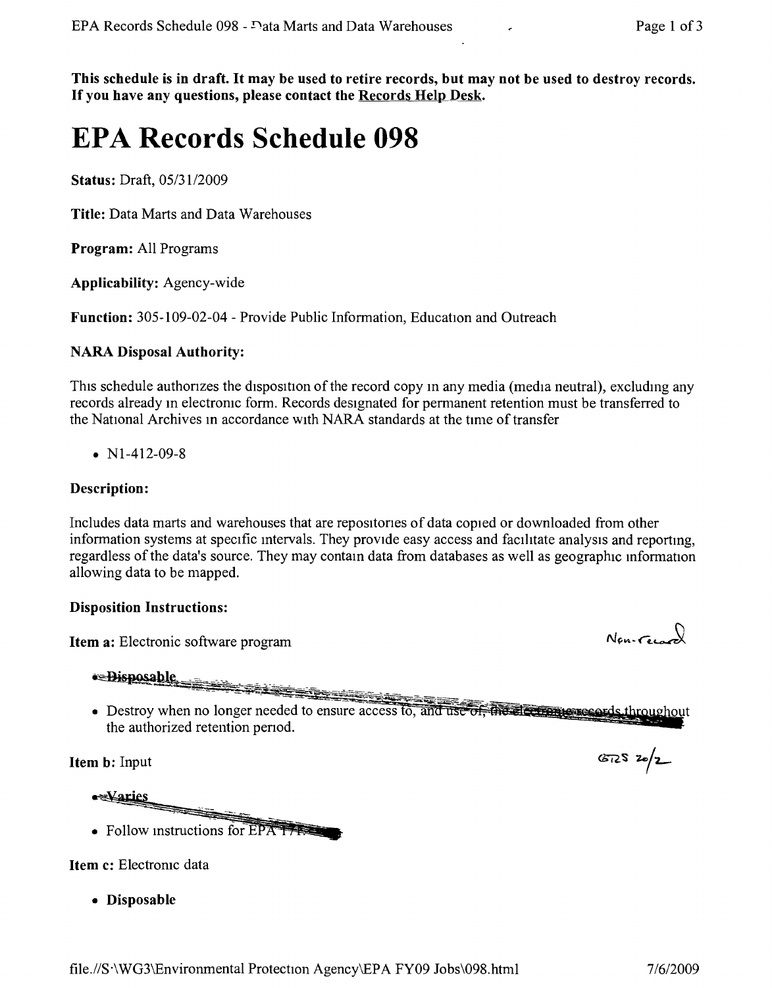This schedule is in draft. It may be used to retire records, but may not be used to destroy records. If you have any questions, please contact the Records Help Desk.

# **EPA Records Schedule 098**

Status: Draft, *05/3112009*

Title: Data Marts and Data Warehouses

Program: All Programs

Applicability: Agency-wide

Function: 305-109-02-04 - Provide Public Information, Education and Outreach

# NARA Disposal Authority:

This schedule authorizes the disposition of the record copy in any media (media neutral), excluding any records already in electronic form. Records designated for permanent retention must be transferred to the National Archives in accordance with NARA standards at the time of transfer

•  $N1-412-09-8$ 

# Description:

Includes data marts and warehouses that are repositones of data copied or downloaded from other information systems at specific mtervals. They provide easy access and facilitate analysis and reportmg, regardless of the data's source. They may contain data from databases as well as geographic information allowing data to be mapped.

## Disposition Instructions:

Item a: Electronic software program

 $~•~\rightarrow~$ 

• Destroy when no longer needed to ensure access to, and use of the electromic needs throughout the authorized retention penod.

Item b: Input

**exvaries** • Follow instructions for EPA T

Item c: Electronic data

• Disposable

 $N_{en-Gen}$ 

 $672520/2$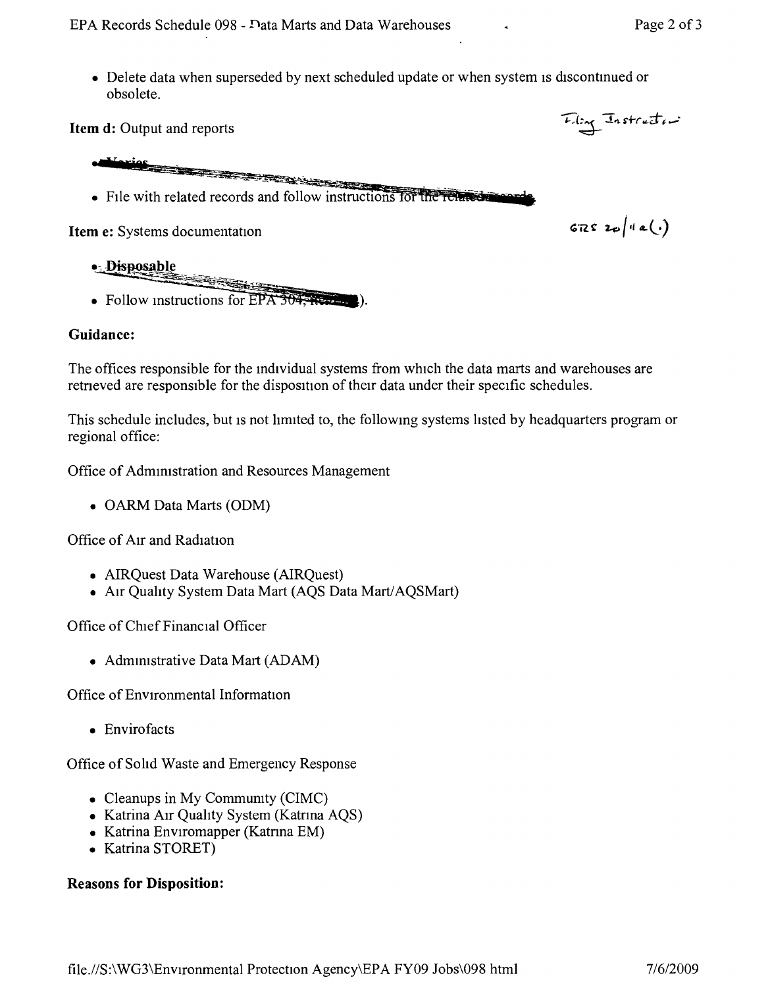Item d: Output and reports

- -\_ ...-. - ..\_- • File with related records and follow instructions for the related

Item e: Systems documentation

• Disposable <u>e gregoria</u> • Follow instructions for EPA 304, Read

## Guidance:

The offices responsible for the individual systems from which the data marts and warehouses are retneved are responsible for the disposition of therr data under their specific schedules.

This schedule includes, but is not limited to, the following systems listed by headquarters program or regional office:

Office of Admmistration and Resources Management

• OARM Data Marts (ODM)

Office of AIr and Radiation

- AIRQuest Data Warehouse (AIRQuest)
- AIr Quality System Data Mart (AQS Data *Marti* AQSMart)

Office of Chief Financial Officer

• Administrative Data Mart (ADAM)

Office of Environmental Information

• Envirofacts

Office of Solid Waste and Emergency Response

- Cleanups in My Community (CIMC)
- Katrina Air Quality System (Katrina AQS)
- Katrina Enviromapper (Katrina EM)
- Katrina STORET)

### Reasons for Disposition:

 $672520(4e).$ 

Fling Instruction